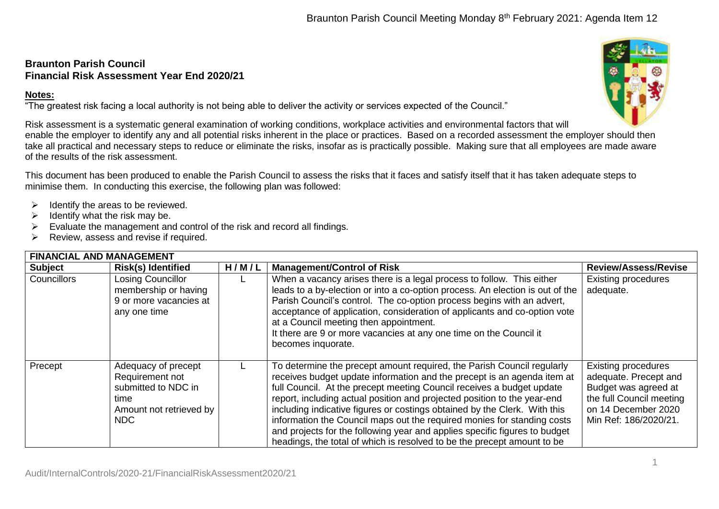## **Braunton Parish Council Financial Risk Assessment Year End 2020/21**

## **Notes:**

"The greatest risk facing a local authority is not being able to deliver the activity or services expected of the Council."

Risk assessment is a systematic general examination of working conditions, workplace activities and environmental factors that will enable the employer to identify any and all potential risks inherent in the place or practices. Based on a recorded assessment the employer should then take all practical and necessary steps to reduce or eliminate the risks, insofar as is practically possible. Making sure that all employees are made aware of the results of the risk assessment.

This document has been produced to enable the Parish Council to assess the risks that it faces and satisfy itself that it has taken adequate steps to minimise them. In conducting this exercise, the following plan was followed:

- $\triangleright$  Identify the areas to be reviewed.
- $\triangleright$  Identify what the risk may be.
- $\triangleright$  Evaluate the management and control of the risk and record all findings.
- $\triangleright$  Review, assess and revise if required.

| <b>FINANCIAL AND MANAGEMENT</b> |                                                                                                                |       |                                                                                                                                                                                                                                                                                                                                                                                                                                                                                                                                                                                                                         |                                                                                                                                                         |  |
|---------------------------------|----------------------------------------------------------------------------------------------------------------|-------|-------------------------------------------------------------------------------------------------------------------------------------------------------------------------------------------------------------------------------------------------------------------------------------------------------------------------------------------------------------------------------------------------------------------------------------------------------------------------------------------------------------------------------------------------------------------------------------------------------------------------|---------------------------------------------------------------------------------------------------------------------------------------------------------|--|
| <b>Subject</b>                  | <b>Risk(s) Identified</b>                                                                                      | H/M/L | <b>Management/Control of Risk</b>                                                                                                                                                                                                                                                                                                                                                                                                                                                                                                                                                                                       | <b>Review/Assess/Revise</b>                                                                                                                             |  |
| <b>Councillors</b>              | <b>Losing Councillor</b><br>membership or having<br>9 or more vacancies at<br>any one time                     |       | When a vacancy arises there is a legal process to follow. This either<br>leads to a by-election or into a co-option process. An election is out of the<br>Parish Council's control. The co-option process begins with an advert,<br>acceptance of application, consideration of applicants and co-option vote<br>at a Council meeting then appointment.<br>It there are 9 or more vacancies at any one time on the Council it<br>becomes inquorate.                                                                                                                                                                     | <b>Existing procedures</b><br>adequate.                                                                                                                 |  |
| Precept                         | Adequacy of precept<br>Requirement not<br>submitted to NDC in<br>time<br>Amount not retrieved by<br><b>NDC</b> |       | To determine the precept amount required, the Parish Council regularly<br>receives budget update information and the precept is an agenda item at<br>full Council. At the precept meeting Council receives a budget update<br>report, including actual position and projected position to the year-end<br>including indicative figures or costings obtained by the Clerk. With this<br>information the Council maps out the required monies for standing costs<br>and projects for the following year and applies specific figures to budget<br>headings, the total of which is resolved to be the precept amount to be | <b>Existing procedures</b><br>adequate. Precept and<br>Budget was agreed at<br>the full Council meeting<br>on 14 December 2020<br>Min Ref: 186/2020/21. |  |

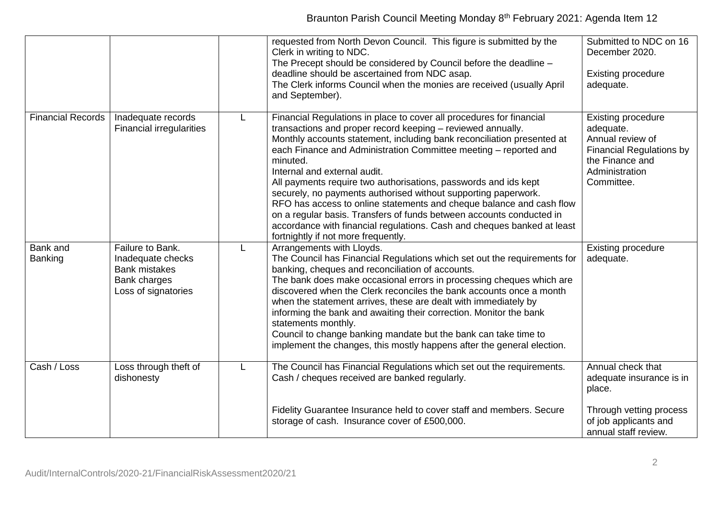|                          |                                                                                                      |    | requested from North Devon Council. This figure is submitted by the<br>Clerk in writing to NDC.<br>The Precept should be considered by Council before the deadline -<br>deadline should be ascertained from NDC asap.<br>The Clerk informs Council when the monies are received (usually April<br>and September).                                                                                                                                                                                                                                                                                                                                                                                                                    | Submitted to NDC on 16<br>December 2020.<br><b>Existing procedure</b><br>adequate.                                                               |
|--------------------------|------------------------------------------------------------------------------------------------------|----|--------------------------------------------------------------------------------------------------------------------------------------------------------------------------------------------------------------------------------------------------------------------------------------------------------------------------------------------------------------------------------------------------------------------------------------------------------------------------------------------------------------------------------------------------------------------------------------------------------------------------------------------------------------------------------------------------------------------------------------|--------------------------------------------------------------------------------------------------------------------------------------------------|
| <b>Financial Records</b> | Inadequate records<br><b>Financial irregularities</b>                                                | L. | Financial Regulations in place to cover all procedures for financial<br>transactions and proper record keeping - reviewed annually.<br>Monthly accounts statement, including bank reconciliation presented at<br>each Finance and Administration Committee meeting - reported and<br>minuted.<br>Internal and external audit.<br>All payments require two authorisations, passwords and ids kept<br>securely, no payments authorised without supporting paperwork.<br>RFO has access to online statements and cheque balance and cash flow<br>on a regular basis. Transfers of funds between accounts conducted in<br>accordance with financial regulations. Cash and cheques banked at least<br>fortnightly if not more frequently. | <b>Existing procedure</b><br>adequate.<br>Annual review of<br><b>Financial Regulations by</b><br>the Finance and<br>Administration<br>Committee. |
| Bank and<br>Banking      | Failure to Bank.<br>Inadequate checks<br><b>Bank mistakes</b><br>Bank charges<br>Loss of signatories | L. | Arrangements with Lloyds.<br>The Council has Financial Regulations which set out the requirements for<br>banking, cheques and reconciliation of accounts.<br>The bank does make occasional errors in processing cheques which are<br>discovered when the Clerk reconciles the bank accounts once a month<br>when the statement arrives, these are dealt with immediately by<br>informing the bank and awaiting their correction. Monitor the bank<br>statements monthly.<br>Council to change banking mandate but the bank can take time to<br>implement the changes, this mostly happens after the general election.                                                                                                                | <b>Existing procedure</b><br>adequate.                                                                                                           |
| Cash / Loss              | Loss through theft of<br>dishonesty                                                                  | L  | The Council has Financial Regulations which set out the requirements.<br>Cash / cheques received are banked regularly.                                                                                                                                                                                                                                                                                                                                                                                                                                                                                                                                                                                                               | Annual check that<br>adequate insurance is in<br>place.                                                                                          |
|                          |                                                                                                      |    | Fidelity Guarantee Insurance held to cover staff and members. Secure<br>storage of cash. Insurance cover of £500,000.                                                                                                                                                                                                                                                                                                                                                                                                                                                                                                                                                                                                                | Through vetting process<br>of job applicants and<br>annual staff review.                                                                         |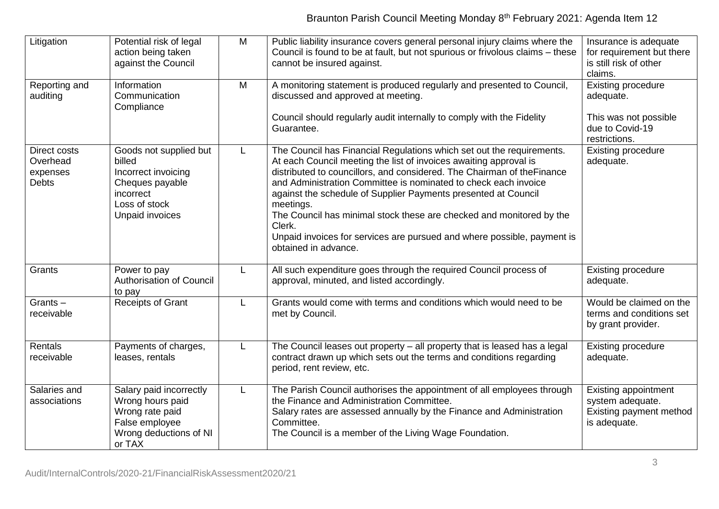| Litigation                                           | Potential risk of legal<br>action being taken<br>against the Council                                                        | M            | Public liability insurance covers general personal injury claims where the<br>Council is found to be at fault, but not spurious or frivolous claims - these<br>cannot be insured against.                                                                                                                                                                                                                                                                                                                                                                    | Insurance is adequate<br>for requirement but there<br>is still risk of other<br>claims.    |
|------------------------------------------------------|-----------------------------------------------------------------------------------------------------------------------------|--------------|--------------------------------------------------------------------------------------------------------------------------------------------------------------------------------------------------------------------------------------------------------------------------------------------------------------------------------------------------------------------------------------------------------------------------------------------------------------------------------------------------------------------------------------------------------------|--------------------------------------------------------------------------------------------|
| Reporting and<br>auditing                            | Information<br>Communication<br>Compliance                                                                                  | M            | A monitoring statement is produced regularly and presented to Council,<br>discussed and approved at meeting.<br>Council should regularly audit internally to comply with the Fidelity                                                                                                                                                                                                                                                                                                                                                                        | <b>Existing procedure</b><br>adequate.<br>This was not possible                            |
|                                                      |                                                                                                                             |              | Guarantee.                                                                                                                                                                                                                                                                                                                                                                                                                                                                                                                                                   | due to Covid-19<br>restrictions.                                                           |
| Direct costs<br>Overhead<br>expenses<br><b>Debts</b> | Goods not supplied but<br>billed<br>Incorrect invoicing<br>Cheques payable<br>incorrect<br>Loss of stock<br>Unpaid invoices | L            | The Council has Financial Regulations which set out the requirements.<br>At each Council meeting the list of invoices awaiting approval is<br>distributed to councillors, and considered. The Chairman of the Finance<br>and Administration Committee is nominated to check each invoice<br>against the schedule of Supplier Payments presented at Council<br>meetings.<br>The Council has minimal stock these are checked and monitored by the<br>Clerk.<br>Unpaid invoices for services are pursued and where possible, payment is<br>obtained in advance. | <b>Existing procedure</b><br>adequate.                                                     |
| Grants                                               | Power to pay<br><b>Authorisation of Council</b><br>to pay                                                                   | $\mathsf{L}$ | All such expenditure goes through the required Council process of<br>approval, minuted, and listed accordingly.                                                                                                                                                                                                                                                                                                                                                                                                                                              | <b>Existing procedure</b><br>adequate.                                                     |
| $Grants -$<br>receivable                             | <b>Receipts of Grant</b>                                                                                                    | L            | Grants would come with terms and conditions which would need to be<br>met by Council.                                                                                                                                                                                                                                                                                                                                                                                                                                                                        | Would be claimed on the<br>terms and conditions set<br>by grant provider.                  |
| Rentals<br>receivable                                | Payments of charges,<br>leases, rentals                                                                                     | L            | The Council leases out property - all property that is leased has a legal<br>contract drawn up which sets out the terms and conditions regarding<br>period, rent review, etc.                                                                                                                                                                                                                                                                                                                                                                                | <b>Existing procedure</b><br>adequate.                                                     |
| Salaries and<br>associations                         | Salary paid incorrectly<br>Wrong hours paid<br>Wrong rate paid<br>False employee<br>Wrong deductions of NI<br>or TAX        |              | The Parish Council authorises the appointment of all employees through<br>the Finance and Administration Committee.<br>Salary rates are assessed annually by the Finance and Administration<br>Committee.<br>The Council is a member of the Living Wage Foundation.                                                                                                                                                                                                                                                                                          | <b>Existing appointment</b><br>system adequate.<br>Existing payment method<br>is adequate. |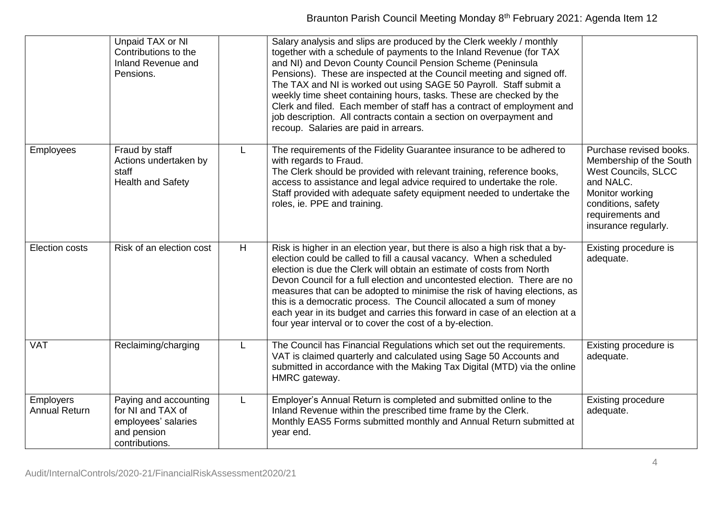|                                          | Unpaid TAX or NI<br>Contributions to the<br>Inland Revenue and<br>Pensions.                        |    | Salary analysis and slips are produced by the Clerk weekly / monthly<br>together with a schedule of payments to the Inland Revenue (for TAX<br>and NI) and Devon County Council Pension Scheme (Peninsula<br>Pensions). These are inspected at the Council meeting and signed off.<br>The TAX and NI is worked out using SAGE 50 Payroll. Staff submit a<br>weekly time sheet containing hours, tasks. These are checked by the<br>Clerk and filed. Each member of staff has a contract of employment and<br>job description. All contracts contain a section on overpayment and<br>recoup. Salaries are paid in arrears. |                                                                                                                                                                                    |
|------------------------------------------|----------------------------------------------------------------------------------------------------|----|---------------------------------------------------------------------------------------------------------------------------------------------------------------------------------------------------------------------------------------------------------------------------------------------------------------------------------------------------------------------------------------------------------------------------------------------------------------------------------------------------------------------------------------------------------------------------------------------------------------------------|------------------------------------------------------------------------------------------------------------------------------------------------------------------------------------|
| <b>Employees</b>                         | Fraud by staff<br>Actions undertaken by<br>staff<br><b>Health and Safety</b>                       | L. | The requirements of the Fidelity Guarantee insurance to be adhered to<br>with regards to Fraud.<br>The Clerk should be provided with relevant training, reference books,<br>access to assistance and legal advice required to undertake the role.<br>Staff provided with adequate safety equipment needed to undertake the<br>roles, ie. PPE and training.                                                                                                                                                                                                                                                                | Purchase revised books.<br>Membership of the South<br><b>West Councils, SLCC</b><br>and NALC.<br>Monitor working<br>conditions, safety<br>requirements and<br>insurance regularly. |
| Election costs                           | Risk of an election cost                                                                           | H  | Risk is higher in an election year, but there is also a high risk that a by-<br>election could be called to fill a causal vacancy. When a scheduled<br>election is due the Clerk will obtain an estimate of costs from North<br>Devon Council for a full election and uncontested election. There are no<br>measures that can be adopted to minimise the risk of having elections, as<br>this is a democratic process. The Council allocated a sum of money<br>each year in its budget and carries this forward in case of an election at a<br>four year interval or to cover the cost of a by-election.                  | Existing procedure is<br>adequate.                                                                                                                                                 |
| <b>VAT</b>                               | Reclaiming/charging                                                                                | L  | The Council has Financial Regulations which set out the requirements.<br>VAT is claimed quarterly and calculated using Sage 50 Accounts and<br>submitted in accordance with the Making Tax Digital (MTD) via the online<br>HMRC gateway.                                                                                                                                                                                                                                                                                                                                                                                  | Existing procedure is<br>adequate.                                                                                                                                                 |
| <b>Employers</b><br><b>Annual Return</b> | Paying and accounting<br>for NI and TAX of<br>employees' salaries<br>and pension<br>contributions. | L  | Employer's Annual Return is completed and submitted online to the<br>Inland Revenue within the prescribed time frame by the Clerk.<br>Monthly EAS5 Forms submitted monthly and Annual Return submitted at<br>year end.                                                                                                                                                                                                                                                                                                                                                                                                    | <b>Existing procedure</b><br>adequate.                                                                                                                                             |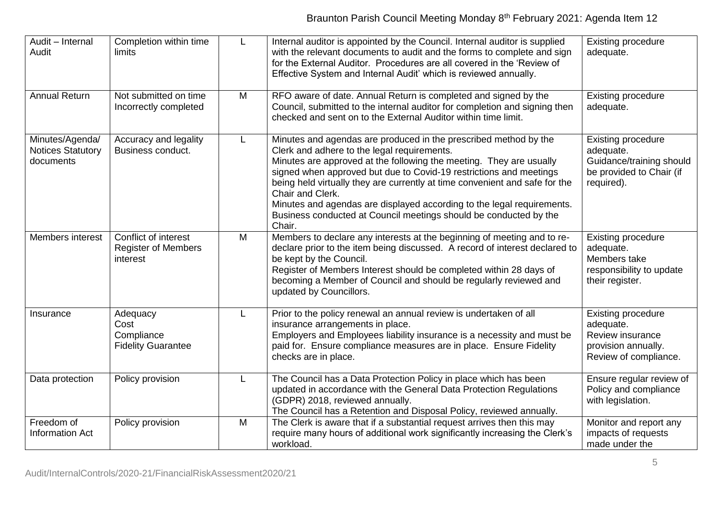| Audit - Internal<br>Audit                                | Completion within time<br>limits                               | L | Internal auditor is appointed by the Council. Internal auditor is supplied<br>with the relevant documents to audit and the forms to complete and sign<br>for the External Auditor. Procedures are all covered in the 'Review of<br>Effective System and Internal Audit' which is reviewed annually.                                                                                                                                                                                                                      | <b>Existing procedure</b><br>adequate.                                                                       |
|----------------------------------------------------------|----------------------------------------------------------------|---|--------------------------------------------------------------------------------------------------------------------------------------------------------------------------------------------------------------------------------------------------------------------------------------------------------------------------------------------------------------------------------------------------------------------------------------------------------------------------------------------------------------------------|--------------------------------------------------------------------------------------------------------------|
| <b>Annual Return</b>                                     | Not submitted on time<br>Incorrectly completed                 | M | RFO aware of date. Annual Return is completed and signed by the<br>Council, submitted to the internal auditor for completion and signing then<br>checked and sent on to the External Auditor within time limit.                                                                                                                                                                                                                                                                                                          | <b>Existing procedure</b><br>adequate.                                                                       |
| Minutes/Agenda/<br><b>Notices Statutory</b><br>documents | Accuracy and legality<br>Business conduct.                     | L | Minutes and agendas are produced in the prescribed method by the<br>Clerk and adhere to the legal requirements.<br>Minutes are approved at the following the meeting. They are usually<br>signed when approved but due to Covid-19 restrictions and meetings<br>being held virtually they are currently at time convenient and safe for the<br>Chair and Clerk.<br>Minutes and agendas are displayed according to the legal requirements.<br>Business conducted at Council meetings should be conducted by the<br>Chair. | <b>Existing procedure</b><br>adequate.<br>Guidance/training should<br>be provided to Chair (if<br>required). |
| Members interest                                         | Conflict of interest<br><b>Register of Members</b><br>interest | M | Members to declare any interests at the beginning of meeting and to re-<br>declare prior to the item being discussed. A record of interest declared to<br>be kept by the Council.<br>Register of Members Interest should be completed within 28 days of<br>becoming a Member of Council and should be regularly reviewed and<br>updated by Councillors.                                                                                                                                                                  | <b>Existing procedure</b><br>adequate.<br>Members take<br>responsibility to update<br>their register.        |
| Insurance                                                | Adequacy<br>Cost<br>Compliance<br><b>Fidelity Guarantee</b>    | L | Prior to the policy renewal an annual review is undertaken of all<br>insurance arrangements in place.<br>Employers and Employees liability insurance is a necessity and must be<br>paid for. Ensure compliance measures are in place. Ensure Fidelity<br>checks are in place.                                                                                                                                                                                                                                            | <b>Existing procedure</b><br>adequate.<br>Review insurance<br>provision annually.<br>Review of compliance.   |
| Data protection                                          | Policy provision                                               | L | The Council has a Data Protection Policy in place which has been<br>updated in accordance with the General Data Protection Regulations<br>(GDPR) 2018, reviewed annually.<br>The Council has a Retention and Disposal Policy, reviewed annually.                                                                                                                                                                                                                                                                         | Ensure regular review of<br>Policy and compliance<br>with legislation.                                       |
| Freedom of<br>Information Act                            | Policy provision                                               | M | The Clerk is aware that if a substantial request arrives then this may<br>require many hours of additional work significantly increasing the Clerk's<br>workload.                                                                                                                                                                                                                                                                                                                                                        | Monitor and report any<br>impacts of requests<br>made under the                                              |